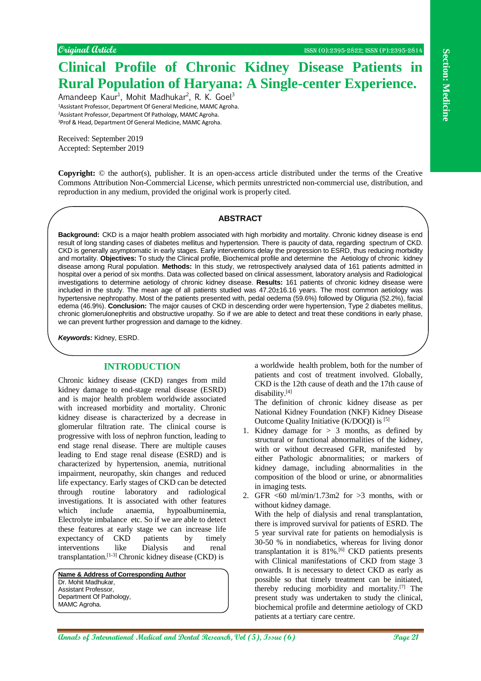# **Clinical Profile of Chronic Kidney Disease Patients in Rural Population of Haryana: A Single-center Experience.**

Amandeep Kaur<sup>1</sup>, Mohit Madhukar<sup>2</sup>, R. K. Goel<sup>3</sup> Assistant Professor, Department Of General Medicine, MAMC Agroha. Assistant Professor, Department Of Pathology, MAMC Agroha. Prof & Head, Department Of General Medicine, MAMC Agroha.

Received: September 2019 Accepted: September 2019

**Copyright:** © the author(s), publisher. It is an open-access article distributed under the terms of the Creative Commons Attribution Non-Commercial License, which permits unrestricted non-commercial use, distribution, and reproduction in any medium, provided the original work is properly cited.

#### **ABSTRACT**

**Consider the control of Christian Constrainers** and the section of *Pacifical Annual Medical and Christian Constrainers* and Dental Research (Constrainers and Dental Research, Constrainers and Dental Research, Constrainer **Background:** CKD is a major health problem associated with high morbidity and mortality. Chronic kidney disease is end result of long standing cases of diabetes mellitus and hypertension. There is paucity of data, regarding spectrum of CKD. CKD is generally asymptomatic in early stages. Early interventions delay the progression to ESRD, thus reducing morbidity and mortality. **Objectives:** To study the Clinical profile, Biochemical profile and determine the Aetiology of chronic kidney disease among Rural population. **Methods:** In this study, we retrospectively analysed data of 161 patients admitted in hospital over a period of six months. Data was collected based on clinical assessment, laboratory analysis and Radiological investigations to determine aetiology of chronic kidney disease. **Results:** 161 patients of chronic kidney disease were included in the study. The mean age of all patients studied was 47.20±16.16 years. The most common aetiology was hypertensive nephropathy. Most of the patients presented with, pedal oedema (59.6%) followed by Oliguria (52.2%), facial edema (46.9%). **Conclusion:** The major causes of CKD in descending order were hypertension, Type 2 diabetes mellitus, chronic glomerulonephritis and obstructive uropathy. So if we are able to detect and treat these conditions in early phase, we can prevent further progression and damage to the kidney.

*Keywords:* Kidney, ESRD.

# **INTRODUCTION**

Chronic kidney disease (CKD) ranges from mild kidney damage to end-stage renal disease (ESRD) and is major health problem worldwide associated with increased morbidity and mortality. Chronic kidney disease is characterized by a decrease in glomerular filtration rate. The clinical course is progressive with loss of nephron function, leading to end stage renal disease. There are multiple causes leading to End stage renal disease (ESRD) and is characterized by hypertension, anemia, nutritional impairment, neuropathy, skin changes and reduced life expectancy. Early stages of CKD can be detected through routine laboratory and radiological investigations. It is associated with other features which include anaemia, hypoalbuminemia, Electrolyte imbalance etc. So if we are able to detect these features at early stage we can increase life expectancy of CKD patients by timely interventions like Dialysis and renal transplantation.[1-3] Chronic kidney disease (CKD) is

**Name & Address of Corresponding Author** Dr. Mohit Madhukar, Assistant Professor, Department Of Pathology, MAMC Agroha.

a worldwide health problem, both for the number of patients and cost of treatment involved. Globally, CKD is the 12th cause of death and the 17th cause of disability.[4]

The definition of chronic kidney disease as per National Kidney Foundation (NKF) Kidney Disease Outcome Quality Initiative (K/DOQI) is [5]

1. Kidney damage for  $> 3$  months, as defined by structural or functional abnormalities of the kidney, with or without decreased GFR, manifested by either Pathologic abnormalities; or markers of kidney damage, including abnormalities in the composition of the blood or urine, or abnormalities in imaging tests.

2. GFR <60 ml/min/1.73m2 for >3 months, with or without kidney damage. With the help of dialysis and renal transplantation, there is improved survival for patients of ESRD. The 5 year survival rate for patients on hemodialysis is 30-50 % in nondiabetics, whereas for living donor transplantation it is  $81\%$ .<sup>[6]</sup> CKD patients presents with Clinical manifestations of CKD from stage 3 onwards. It is necessary to detect CKD as early as possible so that timely treatment can be initiated, thereby reducing morbidity and mortality.[7] The present study was undertaken to study the clinical, biochemical profile and determine aetiology of CKD patients at a tertiary care centre.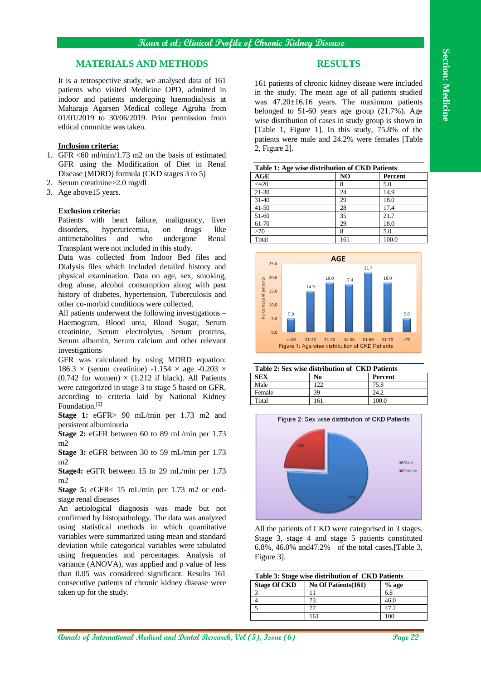# **MATERIALS AND METHODS**

It is a retrospective study, we analysed data of 161 patients who visited Medicine OPD, admitted in indoor and patients undergoing haemodialysis at Maharaja Agarsen Medical college Agroha from 01/01/2019 to 30/06/2019. Prior permission from ethical committe was taken.

#### **Inclusion criteria:**

- 1. GFR  $\leq 60$  ml/min/1.73 m2 on the basis of estimated GFR using the Modification of Diet in Renal Disease (MDRD) formula (CKD stages 3 to 5)
- 2. Serum creatinine>2.0 mg/dl
- 3. Age above15 years.

#### **Exclusion criteria:**

Patients with heart failure, malignancy, liver disorders, hyperuricemia, on drugs like antimetabolites and who undergone Renal Transplant were not included in this study.

Data was collected from Indoor Bed files and Dialysis files which included detailed history and physical examination. Data on age, sex, smoking, drug abuse, alcohol consumption along with past history of diabetes, hypertension, Tuberculosis and other co-morbid conditions were collected.

All patients underwent the following investigations – Haemogram, Blood urea, Blood Sugar, Serum creatinine, Serum electrolytes, Serum proteins, Serum albumin, Serum calcium and other relevant investigations

GFR was calculated by using MDRD equation:  $186.3 \times$  (serum creatinine)  $-1.154 \times$  age  $-0.203 \times$ (0.742 for women)  $\times$  (1.212 if black). All Patients were categorized in stage 3 to stage 5 based on GFR, according to criteria laid by National Kidney Foundation.<sup>[5]</sup>

**Stage 1:** eGFR> 90 mL/min per 1.73 m2 and persistent albuminuria

**Stage 2:** eGFR between 60 to 89 mL/min per 1.73 m2

**Stage 3:** eGFR between 30 to 59 mL/min per 1.73 m2

**Stage4:** eGFR between 15 to 29 mL/min per 1.73 m2

**Stage 5:** eGFR< 15 mL/min per 1.73 m2 or endstage renal diseases

An aetiological diagnosis was made but not confirmed by histopathology. The data was analyzed using statistical methods in which quantitative variables were summarized using mean and standard deviation while categorical variables were tabulated using frequencies and percentages. Analysis of variance (ANOVA), was applied and p value of less than 0.05 was considered significant. Results 161 consecutive patients of chronic kidney disease were taken up for the study.

# **RESULTS**

161 patients of chronic kidney disease were included in the study. The mean age of all patients studied was 47.20±16.16 years. The maximum patients belonged to 51-60 years age group  $(21.7%)$ . Age wise distribution of cases in study group is shown in [Table 1, Figure 1]. In this study, 75.8% of the patients were male and 24.2% were females [Table 2, Figure 2].

| Table 1: Age wise distribution of CKD Patients |                |                |  |  |  |
|------------------------------------------------|----------------|----------------|--|--|--|
| AGE                                            | N <sub>O</sub> | <b>Percent</b> |  |  |  |
| $\leq=20$                                      | 8              | 5.0            |  |  |  |
| $21 - 30$                                      | 24             | 14.9           |  |  |  |
| $31 - 40$                                      | 29             | 18.0           |  |  |  |
| $41 - 50$                                      | 28             | 17.4           |  |  |  |
| 51-60                                          | 35             | 21.7           |  |  |  |
| 61-70                                          | 29             | 18.0           |  |  |  |
| >70                                            | 8              | 5.0            |  |  |  |
| Total                                          | 161            | 100.0          |  |  |  |



| Table 2: Sex wise distribution of CKD Patients |     |                |  |  |  |
|------------------------------------------------|-----|----------------|--|--|--|
| <b>SEX</b>                                     | No  | <b>Percent</b> |  |  |  |
| Male                                           | 122 | 75.8           |  |  |  |
| Female                                         | 39  | 24.2           |  |  |  |
| Total                                          | 161 | 100.0          |  |  |  |



All the patients of CKD were categorised in 3 stages. Stage 3, stage 4 and stage 5 patients constituted 6.8%, 46.0% and47.2% of the total cases.[Table 3, Figure 3].

| Table 3: Stage wise distribution of CKD Patients |                      |         |  |  |  |
|--------------------------------------------------|----------------------|---------|--|--|--|
| <b>Stage Of CKD</b>                              | No Of Patients (161) | $%$ age |  |  |  |
|                                                  |                      | 6.8     |  |  |  |
|                                                  | 73                   | 46.0    |  |  |  |
|                                                  |                      | 47.2    |  |  |  |
|                                                  |                      |         |  |  |  |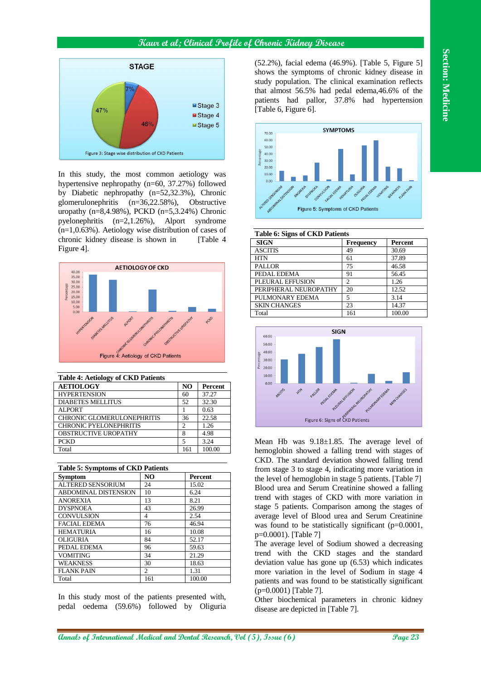# **Kaur et al; Clinical Profile of Chronic Kidney Disease**



In this study, the most common aetiology was hypertensive nephropathy (n=60, 37.27%) followed by Diabetic nephropathy (n=52,32.3%), Chronic glomerulonephritis (n=36,22.58%), Obstructive uropathy (n=8,4.98%), PCKD (n=5,3.24%) Chronic pyelonephritis (n=2,1.26%), Alport syndrome (n=1,0.63%). Aetiology wise distribution of cases of chronic kidney disease is shown in [Table 4] Figure 4].



| <b>Table 4: Aetiology of CKD Patients</b> |                |                |  |  |  |  |
|-------------------------------------------|----------------|----------------|--|--|--|--|
| <b>AETIOLOGY</b>                          | N <sub>O</sub> | <b>Percent</b> |  |  |  |  |
| <b>HYPERTENSION</b>                       | 60             | 37.27          |  |  |  |  |
| <b>DIABETES MELLITUS</b>                  | 52             | 32.30          |  |  |  |  |
| <b>ALPORT</b>                             |                | 0.63           |  |  |  |  |
| <b>CHRONIC GLOMERULONEPHRITIS</b>         | 36             | 22.58          |  |  |  |  |
| <b>CHRONIC PYELONEPHRITIS</b>             | 2              | 1.26           |  |  |  |  |
| OBSTRUCTIVE UROPATHY                      | 8              | 4.98           |  |  |  |  |
| <b>PCKD</b>                               | 5              | 3.24           |  |  |  |  |
| Total                                     | 161            | 100.00         |  |  |  |  |

| <b>Table 5: Symptoms of CKD Patients</b> |     |                |  |  |  |  |
|------------------------------------------|-----|----------------|--|--|--|--|
| <b>Symptom</b>                           | NO  | <b>Percent</b> |  |  |  |  |
| <b>ALTERED SENSORIUM</b>                 | 24  | 15.02          |  |  |  |  |
| <b>ABDOMINAL DISTENSION</b>              | 10  | 6.24           |  |  |  |  |
| <b>ANOREXIA</b>                          | 13  | 8.21           |  |  |  |  |
| <b>DYSPNOEA</b>                          | 43  | 26.99          |  |  |  |  |
| <b>CONVULSION</b>                        | 4   | 2.54           |  |  |  |  |
| <b>FACIAL EDEMA</b>                      | 76  | 46.94          |  |  |  |  |
| <b>HEMATURIA</b>                         | 16  | 10.08          |  |  |  |  |
| <b>OLIGURIA</b>                          | 84  | 52.17          |  |  |  |  |
| PEDAL EDEMA                              | 96  | 59.63          |  |  |  |  |
| <b>VOMITING</b>                          | 34  | 21.29          |  |  |  |  |
| <b>WEAKNESS</b>                          | 30  | 18.63          |  |  |  |  |
| <b>FLANK PAIN</b>                        | 2   | 1.31           |  |  |  |  |
| Total                                    | 161 | 100.00         |  |  |  |  |

In this study most of the patients presented with, pedal oedema (59.6%) followed by Oliguria

(52.2%), facial edema (46.9%). [Table 5, Figure 5] shows the symptoms of chronic kidney disease in study population. The clinical examination reflects that almost 56.5% had pedal edema,46.6% of the patients had pallor, 37.8% had hypertension [Table 6, Figure 6].



#### **Table 6: Signs of CKD Patients**

| <b>SIGN</b>           | <b>Frequency</b> | Percent |  |  |  |  |  |
|-----------------------|------------------|---------|--|--|--|--|--|
| <b>ASCITIS</b>        | 49               | 30.69   |  |  |  |  |  |
| <b>HTN</b>            | 61               | 37.89   |  |  |  |  |  |
| <b>PALLOR</b>         | 75               | 46.58   |  |  |  |  |  |
| PEDAL EDEMA           | 91               | 56.45   |  |  |  |  |  |
| PLEURAL EFFUSION      | $\overline{c}$   | 1.26    |  |  |  |  |  |
| PERIPHERAL NEUROPATHY | 20               | 12.52   |  |  |  |  |  |
| PULMONARY EDEMA       | 5                | 3.14    |  |  |  |  |  |
| <b>SKIN CHANGES</b>   | 23               | 14.37   |  |  |  |  |  |
| Total                 | 161              | 100.00  |  |  |  |  |  |



Mean Hb was  $9.18 \pm 1.85$ . The average level of hemoglobin showed a falling trend with stages of CKD. The standard deviation showed falling trend from stage 3 to stage 4, indicating more variation in the level of hemoglobin in stage 5 patients. [Table 7] Blood urea and Serum Creatinine showed a falling trend with stages of CKD with more variation in stage 5 patients. Comparison among the stages of average level of Blood urea and Serum Creatinine was found to be statistically significant (p=0.0001, p=0.0001). [Table 7]

The average level of Sodium showed a decreasing trend with the CKD stages and the standard deviation value has gone up (6.53) which indicates more variation in the level of Sodium in stage 4 patients and was found to be statistically significant (p=0.0001) [Table 7].

Other biochemical parameters in chronic kidney disease are depicted in [Table 7].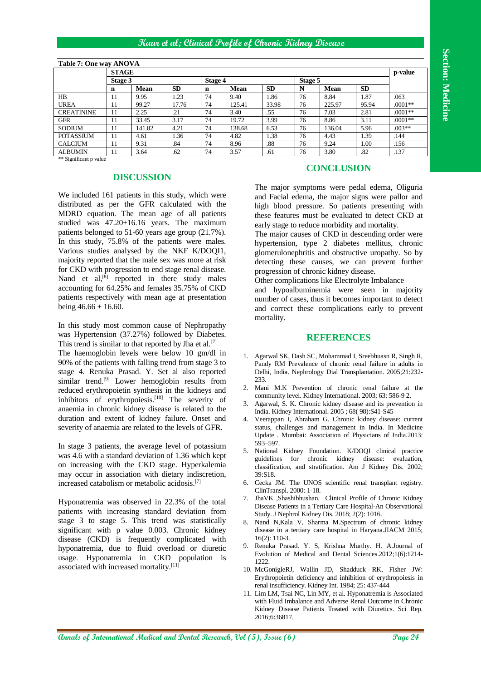# **Section: Medicine Section: Medicine**

### **Kaur et al; Clinical Profile of Chronic Kidney Disease**

| Table 7: One way ANOVA |         |        |           |         |             |           |         |         |           |           |
|------------------------|---------|--------|-----------|---------|-------------|-----------|---------|---------|-----------|-----------|
| <b>STAGE</b>           |         |        |           |         |             |           |         | p-value |           |           |
|                        | Stage 3 |        |           | Stage 4 |             |           | Stage 5 |         |           |           |
|                        | n       | Mean   | <b>SD</b> | n       | <b>Mean</b> | <b>SD</b> | N       | Mean    | <b>SD</b> |           |
| HB                     | 11      | 9.95   | 1.23      | 74      | 9.40        | 1.86      | 76      | 8.84    | 1.87      | .063      |
| <b>UREA</b>            | 11      | 99.27  | 17.76     | 74      | 125.41      | 33.98     | 76      | 225.97  | 95.94     | $.0001**$ |
| <b>CREATININE</b>      | 11      | 2.25   | .21       | 74      | 3.40        | .55       | 76      | 7.03    | 2.81      | $.0001**$ |
| <b>GFR</b>             | 11      | 33.45  | 3.17      | 74      | 19.72       | 3.99      | 76      | 8.86    | 3.11      | $.0001**$ |
| <b>SODIUM</b>          | 11      | 141.82 | 4.21      | 74      | 138.68      | 6.53      | 76      | 136.04  | 5.96      | $.003**$  |
| <b>POTASSIUM</b>       | 11      | 4.61   | 1.36      | 74      | 4.82        | 1.38      | 76      | 4.43    | 1.39      | .144      |
| <b>CALCIUM</b>         | 11      | 9.31   | .84       | 74      | 8.96        | .88       | 76      | 9.24    | 1.00      | .156      |
| <b>ALBUMIN</b>         | 11      | 3.64   | .62       | 74      | 3.57        | .61       | 76      | 3.80    | .82       | .137      |

#### **Table 7: One way ANOVA**

\*\* Significant p value

# **DISCUSSION**

We included 161 patients in this study, which were distributed as per the GFR calculated with the MDRD equation. The mean age of all patients studied was 47.20±16.16 years. The maximum patients belonged to 51-60 years age group (21.7%). In this study, 75.8% of the patients were males. Various studies analysed by the NKF K/DOQI1, majority reported that the male sex was more at risk for CKD with progression to end stage renal disease. Nand et al,<sup>[8]</sup> reported in there study males accounting for 64.25% and females 35.75% of CKD patients respectively with mean age at presentation being  $46.66 \pm 16.60$ .

In this study most common cause of Nephropathy was Hypertension (37.27%) followed by Diabetes. This trend is similar to that reported by Jha et al.<sup>[7]</sup> The haemoglobin levels were below 10 gm/dl in

90% of the patients with falling trend from stage 3 to stage 4. Renuka Prasad. Y. Set al also reported similar trend.<sup>[9]</sup> Lower hemoglobin results from reduced erythropoietin synthesis in the kidneys and inhibitors of erythropoiesis.<sup>[10]</sup> The severity of anaemia in chronic kidney disease is related to the duration and extent of kidney failure. Onset and severity of anaemia are related to the levels of GFR.

In stage 3 patients, the average level of potassium was 4.6 with a standard deviation of 1.36 which kept on increasing with the CKD stage. Hyperkalemia may occur in association with dietary indiscretion, increased catabolism or metabolic acidosis. [7]

Hyponatremia was observed in 22.3% of the total patients with increasing standard deviation from stage 3 to stage 5. This trend was statistically significant with p value 0.003. Chronic kidney disease (CKD) is frequently complicated with hyponatremia, due to fluid overload or diuretic usage. Hyponatremia in CKD population is associated with increased mortality.[11]

# **CONCLUSION**

The major symptoms were pedal edema, Oliguria and Facial edema, the major signs were pallor and high blood pressure. So patients presenting with these features must be evaluated to detect CKD at early stage to reduce morbidity and mortality.

The major causes of CKD in descending order were hypertension, type 2 diabetes mellitus, chronic glomerulonephritis and obstructive uropathy. So by detecting these causes, we can prevent further progression of chronic kidney disease.

Other complications like Electrolyte Imbalance

and hypoalbuminemia were seen in majority number of cases, thus it becomes important to detect and correct these complications early to prevent mortality.

#### **REFERENCES**

- 1. Agarwal SK, Dash SC, Mohammad I, Sreebhuasn R, Singh R, Pandy RM Prevalence of chronic renal failure in adults in Delhi, India. Nephrology Dial Transplantation. 2005;21:232- 233.
- 2. Mani M.K Prevention of chronic renal failure at the community level. Kidney International. 2003; 63: 586-9 2.
- Agarwal, S. K. Chronic kidney disease and its prevention in India. Kidney International. 2005 ; 68( 98):S41-S45
- 4. Veerappan I, Abraham G. Chronic kidney disease: current status, challenges and management in India. In Medicine Update . Mumbai: Association of Physicians of India.2013: 593–597.
- 5. National Kidney Foundation. K/DOQI clinical practice guidelines for chronic kidney disease: evaluation, classification, and stratification. Am J Kidney Dis. 2002; 39:S18.
- 6. Cecka JM. The UNOS scientific renal transplant registry. ClinTranspl. 2000: 1-18.
- 7. JhaVK ,Shashibhushan. Clinical Profile of Chronic Kidney Disease Patients in a Tertiary Care Hospital-An Observational Study. J Nephrol Kidney Dis. 2018; 2(2): 1016.
- Nand N,Kala V, Sharma M.Spectrum of chronic kidney disease in a tertiary care hospital in Haryana.JIACM 2015; 16(2): 110-3.
- 9. Renuka Prasad. Y. S, Krishna Murthy. H. A.Journal of Evolution of Medical and Dental Sciences.2012;1(6):1214- 1222.
- 10. McGonigleRJ, Wallin JD, Shadduck RK, Fisher JW: Erythropoietin deficiency and inhibition of erythropoiesis in renal insufficiency. Kidney Int. 1984; 25: 437-444
- 11. Lim LM, Tsai NC, Lin MY, et al. Hyponatremia is Associated with Fluid Imbalance and Adverse Renal Outcome in Chronic Kidney Disease Patients Treated with Diuretics. Sci Rep. 2016;6:36817.